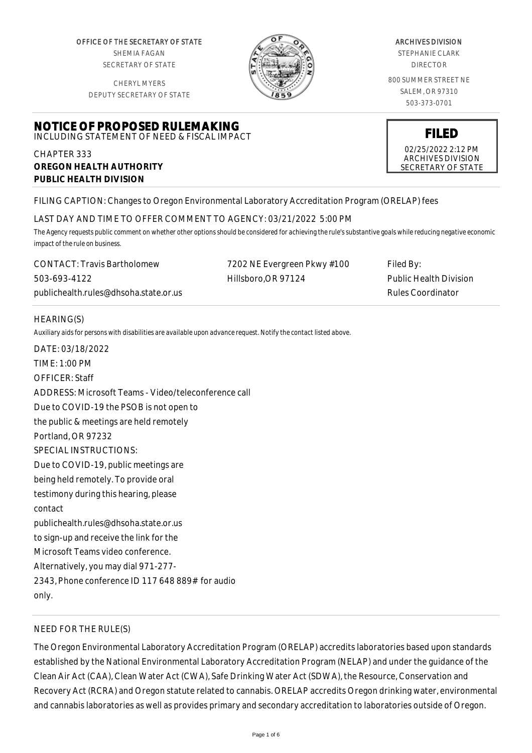OFFICE OF THE SECRETARY OF STATE SHEMIA FAGAN SECRETARY OF STATE

CHERYL MYERS DEPUTY SECRETARY OF STATE



#### ARCHIVES DIVISION

STEPHANIE CLARK DIRECTOR

800 SUMMER STREET NE SALEM, OR 97310 503-373-0701

> **FILED** 02/25/2022 2:12 PM ARCHIVES DIVISION SECRETARY OF STATE

# **NOTICE OF PROPOSED RULEMAKING** INCLUDING STATEMENT OF NEED & FISCAL IMPACT

### CHAPTER 333 **OREGON HEALTH AUTHORITY PUBLIC HEALTH DIVISION**

# FILING CAPTION: Changes to Oregon Environmental Laboratory Accreditation Program (ORELAP) fees

#### LAST DAY AND TIME TO OFFER COMMENT TO AGENCY: 03/21/2022 5:00 PM

*The Agency requests public comment on whether other options should be considered for achieving the rule's substantive goals while reducing negative economic impact of the rule on business.*

CONTACT: Travis Bartholomew 503-693-4122 publichealth.rules@dhsoha.state.or.us 7202 NE Evergreen Pkwy #100 Hillsboro,OR 97124 Filed By: Public Health Division Rules Coordinator

#### HEARING(S)

*Auxiliary aids for persons with disabilities are available upon advance request. Notify the contact listed above.*

DATE: 03/18/2022 TIME: 1:00 PM OFFICER: Staff ADDRESS: Microsoft Teams - Video/teleconference call Due to COVID-19 the PSOB is not open to the public & meetings are held remotely Portland, OR 97232 SPECIAL INSTRUCTIONS: Due to COVID-19, public meetings are being held remotely. To provide oral testimony during this hearing, please contact publichealth.rules@dhsoha.state.or.us to sign-up and receive the link for the Microsoft Teams video conference. Alternatively, you may dial 971-277- 2343, Phone conference ID 117 648 889# for audio only.

# NEED FOR THE RULE(S)

The Oregon Environmental Laboratory Accreditation Program (ORELAP) accredits laboratories based upon standards established by the National Environmental Laboratory Accreditation Program (NELAP) and under the guidance of the Clean Air Act (CAA), Clean Water Act (CWA), Safe Drinking Water Act (SDWA), the Resource, Conservation and Recovery Act (RCRA) and Oregon statute related to cannabis. ORELAP accredits Oregon drinking water, environmental and cannabis laboratories as well as provides primary and secondary accreditation to laboratories outside of Oregon.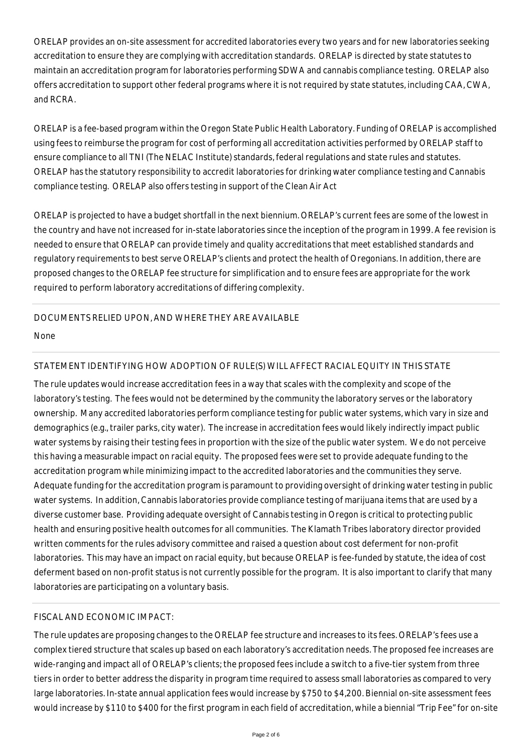ORELAP provides an on-site assessment for accredited laboratories every two years and for new laboratories seeking accreditation to ensure they are complying with accreditation standards. ORELAP is directed by state statutes to maintain an accreditation program for laboratories performing SDWA and cannabis compliance testing. ORELAP also offers accreditation to support other federal programs where it is not required by state statutes, including CAA, CWA, and RCRA.

ORELAP is a fee-based program within the Oregon State Public Health Laboratory. Funding of ORELAP is accomplished using fees to reimburse the program for cost of performing all accreditation activities performed by ORELAP staff to ensure compliance to all TNI (The NELAC Institute) standards, federal regulations and state rules and statutes. ORELAP has the statutory responsibility to accredit laboratories for drinking water compliance testing and Cannabis compliance testing. ORELAP also offers testing in support of the Clean Air Act

ORELAP is projected to have a budget shortfall in the next biennium. ORELAP's current fees are some of the lowest in the country and have not increased for in-state laboratories since the inception of the program in 1999. A fee revision is needed to ensure that ORELAP can provide timely and quality accreditations that meet established standards and regulatory requirements to best serve ORELAP's clients and protect the health of Oregonians. In addition, there are proposed changes to the ORELAP fee structure for simplification and to ensure fees are appropriate for the work required to perform laboratory accreditations of differing complexity.

#### DOCUMENTS RELIED UPON, AND WHERE THEY ARE AVAILABLE

None

# STATEMENT IDENTIFYING HOW ADOPTION OF RULE(S) WILL AFFECT RACIAL EQUITY IN THIS STATE

The rule updates would increase accreditation fees in a way that scales with the complexity and scope of the laboratory's testing. The fees would not be determined by the community the laboratory serves or the laboratory ownership. Many accredited laboratories perform compliance testing for public water systems, which vary in size and demographics (e.g., trailer parks, city water). The increase in accreditation fees would likely indirectly impact public water systems by raising their testing fees in proportion with the size of the public water system. We do not perceive this having a measurable impact on racial equity. The proposed fees were set to provide adequate funding to the accreditation program while minimizing impact to the accredited laboratories and the communities they serve. Adequate funding for the accreditation program is paramount to providing oversight of drinking water testing in public water systems. In addition, Cannabis laboratories provide compliance testing of marijuana items that are used by a diverse customer base. Providing adequate oversight of Cannabis testing in Oregon is critical to protecting public health and ensuring positive health outcomes for all communities. The Klamath Tribes laboratory director provided written comments for the rules advisory committee and raised a question about cost deferment for non-profit laboratories. This may have an impact on racial equity, but because ORELAP is fee-funded by statute, the idea of cost deferment based on non-profit status is not currently possible for the program. It is also important to clarify that many laboratories are participating on a voluntary basis.

#### FISCAL AND ECONOMIC IMPACT:

The rule updates are proposing changes to the ORELAP fee structure and increases to its fees. ORELAP's fees use a complex tiered structure that scales up based on each laboratory's accreditation needs. The proposed fee increases are wide-ranging and impact all of ORELAP's clients; the proposed fees include a switch to a five-tier system from three tiers in order to better address the disparity in program time required to assess small laboratories as compared to very large laboratories. In-state annual application fees would increase by \$750 to \$4,200. Biennial on-site assessment fees would increase by \$110 to \$400 for the first program in each field of accreditation, while a biennial "Trip Fee" for on-site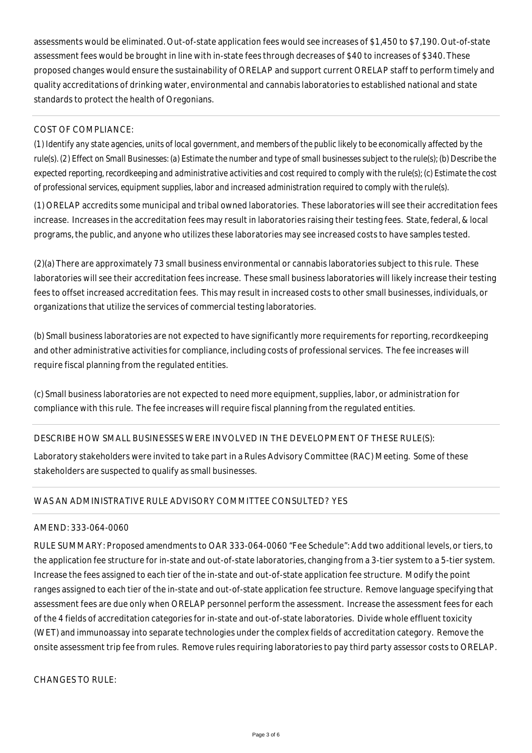assessments would be eliminated. Out-of-state application fees would see increases of \$1,450 to \$7,190. Out-of-state assessment fees would be brought in line with in-state fees through decreases of \$40 to increases of \$340. These proposed changes would ensure the sustainability of ORELAP and support current ORELAP staff to perform timely and quality accreditations of drinking water, environmental and cannabis laboratories to established national and state standards to protect the health of Oregonians.

### COST OF COMPLIANCE:

*(1) Identify any state agencies, units of local government, and members of the public likely to be economically affected by the rule(s). (2) Effect on Small Businesses: (a) Estimate the number and type of small businesses subject to the rule(s); (b) Describe the expected reporting, recordkeeping and administrative activities and cost required to comply with the rule(s); (c) Estimate the cost of professional services, equipment supplies, labor and increased administration required to comply with the rule(s).*

(1) ORELAP accredits some municipal and tribal owned laboratories. These laboratories will see their accreditation fees increase. Increases in the accreditation fees may result in laboratories raising their testing fees. State, federal, & local programs, the public, and anyone who utilizes these laboratories may see increased costs to have samples tested.

(2)(a) There are approximately 73 small business environmental or cannabis laboratories subject to this rule. These laboratories will see their accreditation fees increase. These small business laboratories will likely increase their testing fees to offset increased accreditation fees. This may result in increased costs to other small businesses, individuals, or organizations that utilize the services of commercial testing laboratories.

(b) Small business laboratories are not expected to have significantly more requirements for reporting, recordkeeping and other administrative activities for compliance, including costs of professional services. The fee increases will require fiscal planning from the regulated entities.

(c) Small business laboratories are not expected to need more equipment, supplies, labor, or administration for compliance with this rule. The fee increases will require fiscal planning from the regulated entities.

# DESCRIBE HOW SMALL BUSINESSES WERE INVOLVED IN THE DEVELOPMENT OF THESE RULE(S):

Laboratory stakeholders were invited to take part in a Rules Advisory Committee (RAC) Meeting. Some of these stakeholders are suspected to qualify as small businesses.

# WAS AN ADMINISTRATIVE RULE ADVISORY COMMITTEE CONSULTED? YES

#### AMEND: 333-064-0060

RULE SUMMARY: Proposed amendments to OAR 333-064-0060 "Fee Schedule": Add two additional levels, or tiers, to the application fee structure for in-state and out-of-state laboratories, changing from a 3-tier system to a 5-tier system. Increase the fees assigned to each tier of the in-state and out-of-state application fee structure. Modify the point ranges assigned to each tier of the in-state and out-of-state application fee structure. Remove language specifying that assessment fees are due only when ORELAP personnel perform the assessment. Increase the assessment fees for each of the 4 fields of accreditation categories for in-state and out-of-state laboratories. Divide whole effluent toxicity (WET) and immunoassay into separate technologies under the complex fields of accreditation category. Remove the onsite assessment trip fee from rules. Remove rules requiring laboratories to pay third party assessor costs to ORELAP.

CHANGES TO RULE: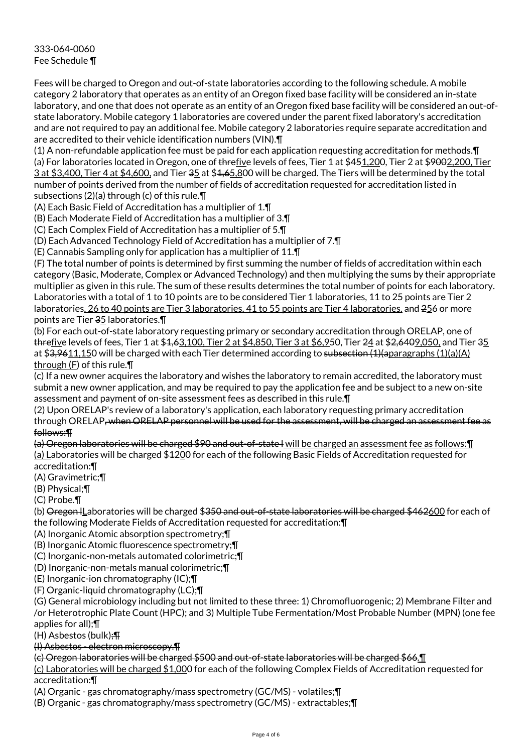333-064-0060 Fee Schedule ¶

Fees will be charged to Oregon and out-of-state laboratories according to the following schedule. A mobile category 2 laboratory that operates as an entity of an Oregon fixed base facility will be considered an in-state laboratory, and one that does not operate as an entity of an Oregon fixed base facility will be considered an out-ofstate laboratory. Mobile category 1 laboratories are covered under the parent fixed laboratory's accreditation and are not required to pay an additional fee. Mobile category 2 laboratories require separate accreditation and are accredited to their vehicle identification numbers (VIN).¶

(1) A non-refundable application fee must be paid for each application requesting accreditation for methods.¶ (a) For laboratories located in Oregon, one of threfive levels of fees, Tier 1 at \$451,200, Tier 2 at \$9002,200, Tier 3 at \$3,400, Tier 4 at \$4,600, and Tier 35 at \$1,65,800 will be charged. The Tiers will be determined by the total number of points derived from the number of fields of accreditation requested for accreditation listed in subsections (2)(a) through (c) of this rule.¶

(A) Each Basic Field of Accreditation has a multiplier of 1.¶

(B) Each Moderate Field of Accreditation has a multiplier of 3.¶

(C) Each Complex Field of Accreditation has a multiplier of 5.¶

(D) Each Advanced Technology Field of Accreditation has a multiplier of 7.¶

(E) Cannabis Sampling only for application has a multiplier of 11.¶

(F) The total number of points is determined by first summing the number of fields of accreditation within each category (Basic, Moderate, Complex or Advanced Technology) and then multiplying the sums by their appropriate multiplier as given in this rule. The sum of these results determines the total number of points for each laboratory. Laboratories with a total of 1 to 10 points are to be considered Tier 1 laboratories, 11 to 25 points are Tier 2 laboratories, 26 to 40 points are Tier 3 laboratories, 41 to 55 points are Tier 4 laboratories, and 256 or more points are Tier 35 laboratories.¶

(b) For each out-of-state laboratory requesting primary or secondary accreditation through ORELAP, one of threfive levels of fees, Tier 1 at \$4,63,100, Tier 2 at \$4,850, Tier 3 at \$6,950, Tier 24 at \$2,6409,050, and Tier 35 at  $$3,9611,150$  will be charged with each Tier determined according to subsection  $(1)(a)$ and  $(1)(a)(A)$ through (F) of this rule.¶

(c) If a new owner acquires the laboratory and wishes the laboratory to remain accredited, the laboratory must submit a new owner application, and may be required to pay the application fee and be subject to a new on-site assessment and payment of on-site assessment fees as described in this rule.¶

(2) Upon ORELAP's review of a laboratory's application, each laboratory requesting primary accreditation through ORELAP, when ORELAP personnel will be used for the assessment, will be charged an assessment fee as follows:¶

(a) Oregon laboratories will be charged \$90 and out-of-state l will be charged an assessment fee as follows:¶ (a) Laboratories will be charged \$1200 for each of the following Basic Fields of Accreditation requested for accreditation:¶

(A) Gravimetric;¶

(B) Physical;¶

(C) Probe.¶

(b) Oregon ILaboratories will be charged \$350 and out-of-state laboratories will be charged \$462600 for each of the following Moderate Fields of Accreditation requested for accreditation:¶

(A) Inorganic Atomic absorption spectrometry;¶

(B) Inorganic Atomic fluorescence spectrometry;¶

(C) Inorganic-non-metals automated colorimetric;¶

(D) Inorganic-non-metals manual colorimetric;¶

(E) Inorganic-ion chromatography (IC);¶

(F) Organic-liquid chromatography (LC);¶

(G) General microbiology including but not limited to these three: 1) Chromofluorogenic; 2) Membrane Filter and /or Heterotrophic Plate Count (HPC); and 3) Multiple Tube Fermentation/Most Probable Number (MPN) (one fee

applies for all);¶

(H) Asbestos (bulk);¶

(I) Asbestos - electron microscopy.¶

(c) Oregon laboratories will be charged \$500 and out-of-state laboratories will be charged \$66.¶

(c) Laboratories will be charged \$1,000 for each of the following Complex Fields of Accreditation requested for accreditation:¶

(A) Organic - gas chromatography/mass spectrometry (GC/MS) - volatiles;¶

(B) Organic - gas chromatography/mass spectrometry (GC/MS) - extractables;¶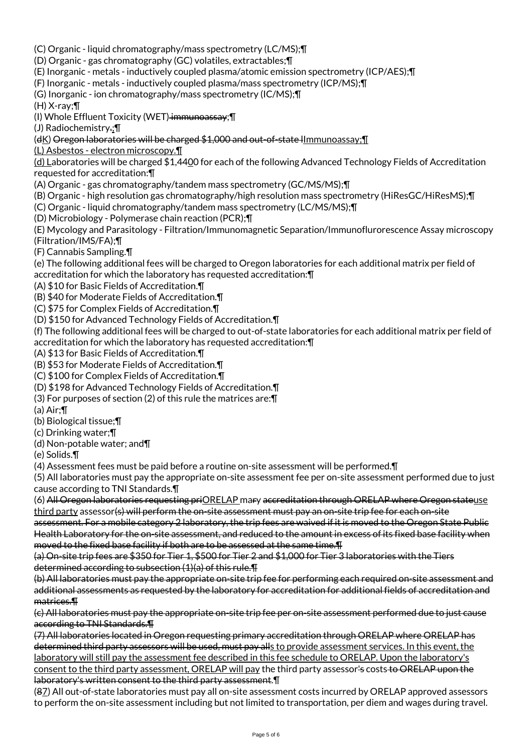- (C) Organic liquid chromatography/mass spectrometry (LC/MS);¶ (D) Organic - gas chromatography (GC) volatiles, extractables;¶
- (E) Inorganic metals inductively coupled plasma/atomic emission spectrometry (ICP/AES);¶
- (F) Inorganic metals inductively coupled plasma/mass spectrometry (ICP/MS);¶
- (G) Inorganic ion chromatography/mass spectrometry (IC/MS);¶

(H) X-ray;¶

(I) Whole Effluent Toxicity (WET) immunoassay; [I]

(J) Radiochemistry.;¶

(dK) Oregon laboratories will be charged \$1,000 and out-of-state lImmunoassay;¶

(L) Asbestos - electron microscopy.¶

(d) Laboratories will be charged \$1,4400 for each of the following Advanced Technology Fields of Accreditation requested for accreditation:¶

- (A) Organic gas chromatography/tandem mass spectrometry (GC/MS/MS);¶
- (B) Organic high resolution gas chromatography/high resolution mass spectrometry (HiResGC/HiResMS);¶
- (C) Organic liquid chromatography/tandem mass spectrometry (LC/MS/MS);¶
- (D) Microbiology Polymerase chain reaction (PCR);¶

(E) Mycology and Parasitology - Filtration/Immunomagnetic Separation/Immunoflurorescence Assay microscopy (Filtration/IMS/FA);¶

(F) Cannabis Sampling.¶

(e) The following additional fees will be charged to Oregon laboratories for each additional matrix per field of accreditation for which the laboratory has requested accreditation:¶

(A) \$10 for Basic Fields of Accreditation.¶

(B) \$40 for Moderate Fields of Accreditation.¶

(C) \$75 for Complex Fields of Accreditation.¶

(D) \$150 for Advanced Technology Fields of Accreditation.¶

(f) The following additional fees will be charged to out-of-state laboratories for each additional matrix per field of accreditation for which the laboratory has requested accreditation:¶

(A) \$13 for Basic Fields of Accreditation.¶

(B) \$53 for Moderate Fields of Accreditation.¶

(C) \$100 for Complex Fields of Accreditation.¶

(D) \$198 for Advanced Technology Fields of Accreditation.¶

(3) For purposes of section (2) of this rule the matrices are:¶

(a) Air;¶

(b) Biological tissue;¶

(c) Drinking water;¶

(d) Non-potable water; and¶

(e) Solids.¶

(4) Assessment fees must be paid before a routine on-site assessment will be performed.¶

(5) All laboratories must pay the appropriate on-site assessment fee per on-site assessment performed due to just cause according to TNI Standards.¶

(6) All Oregon laboratories requesting priORELAP mary accreditation through ORELAP where Oregon stateuse third party assessor(s) will perform the on-site assessment must pay an on-site trip fee for each on-site

assessment. For a mobile category 2 laboratory, the trip fees are waived if it is moved to the Oregon State Public Health Laboratory for the on-site assessment, and reduced to the amount in excess of its fixed base facility when moved to the fixed base facility if both are to be assessed at the same time.¶

(a) On-site trip fees are \$350 for Tier 1, \$500 for Tier 2 and \$1,000 for Tier 3 laboratories with the Tiers determined according to subsection (1)(a) of this rule.¶

(b) All laboratories must pay the appropriate on-site trip fee for performing each required on-site assessment and additional assessments as requested by the laboratory for accreditation for additional fields of accreditation and matrices.¶

(c) All laboratories must pay the appropriate on-site trip fee per on-site assessment performed due to just cause according to TNI Standards.¶

(7) All laboratories located in Oregon requesting primary accreditation through ORELAP where ORELAP has determined third party assessors will be used, must pay alls to provide assessment services. In this event, the laboratory will still pay the assessment fee described in this fee schedule to ORELAP. Upon the laboratory's consent to the third party assessment, ORELAP will pay the third party assessor's costs to ORELAP upon the laboratory's written consent to the third party assessment.¶

(87) All out-of-state laboratories must pay all on-site assessment costs incurred by ORELAP approved assessors to perform the on-site assessment including but not limited to transportation, per diem and wages during travel.